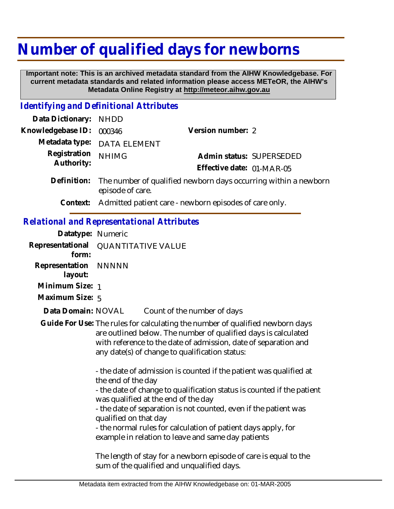## **Number of qualified days for newborns**

 **Important note: This is an archived metadata standard from the AIHW Knowledgebase. For current metadata standards and related information please access METeOR, the AIHW's Metadata Online Registry at http://meteor.aihw.gov.au**

## *Identifying and Definitional Attributes*

| Data Dictionary: NHDD                       |                                                                                    |                           |                          |
|---------------------------------------------|------------------------------------------------------------------------------------|---------------------------|--------------------------|
| Knowledgebase ID: 000346                    |                                                                                    | Version number: 2         |                          |
|                                             | Metadata type: DATA ELEMENT                                                        |                           |                          |
| Registration <sub>NHIMG</sub><br>Authority: |                                                                                    |                           | Admin status: SUPERSEDED |
|                                             |                                                                                    | Effective date: 01-MAR-05 |                          |
|                                             | $\Delta$ Definition: The number of qualified pewborn days occurring within a pewbo |                           |                          |

- Definition: The number of qualified newborn days occurring within a newborn episode of care.
	- **Context:** Admitted patient care newborn episodes of care only.

## *Relational and Representational Attributes*

| Datatype: Numeric               |                                                                                                                                                                                                                                                                      |                                                                                                                |  |
|---------------------------------|----------------------------------------------------------------------------------------------------------------------------------------------------------------------------------------------------------------------------------------------------------------------|----------------------------------------------------------------------------------------------------------------|--|
| Representational<br>form:       | <b>QUANTITATIVE VALUE</b>                                                                                                                                                                                                                                            |                                                                                                                |  |
| Representation NNNNN<br>layout: |                                                                                                                                                                                                                                                                      |                                                                                                                |  |
| Minimum Size: 1                 |                                                                                                                                                                                                                                                                      |                                                                                                                |  |
| Maximum Size: 5                 |                                                                                                                                                                                                                                                                      |                                                                                                                |  |
| Data Domain: NOVAL              |                                                                                                                                                                                                                                                                      | Count of the number of days                                                                                    |  |
|                                 | Guide For Use: The rules for calculating the number of qualified newborn days<br>are outlined below. The number of qualified days is calculated<br>with reference to the date of admission, date of separation and<br>any date(s) of change to qualification status: |                                                                                                                |  |
|                                 | - the date of admission is counted if the patient was qualified at<br>the end of the day<br>- the date of change to qualification status is counted if the patient                                                                                                   |                                                                                                                |  |
|                                 | was qualified at the end of the day                                                                                                                                                                                                                                  |                                                                                                                |  |
|                                 | qualified on that day                                                                                                                                                                                                                                                | - the date of separation is not counted, even if the patient was                                               |  |
|                                 |                                                                                                                                                                                                                                                                      | - the normal rules for calculation of patient days apply, for                                                  |  |
|                                 |                                                                                                                                                                                                                                                                      | example in relation to leave and same day patients                                                             |  |
|                                 |                                                                                                                                                                                                                                                                      | The length of stay for a newborn episode of care is equal to the<br>sum of the qualified and unqualified days. |  |